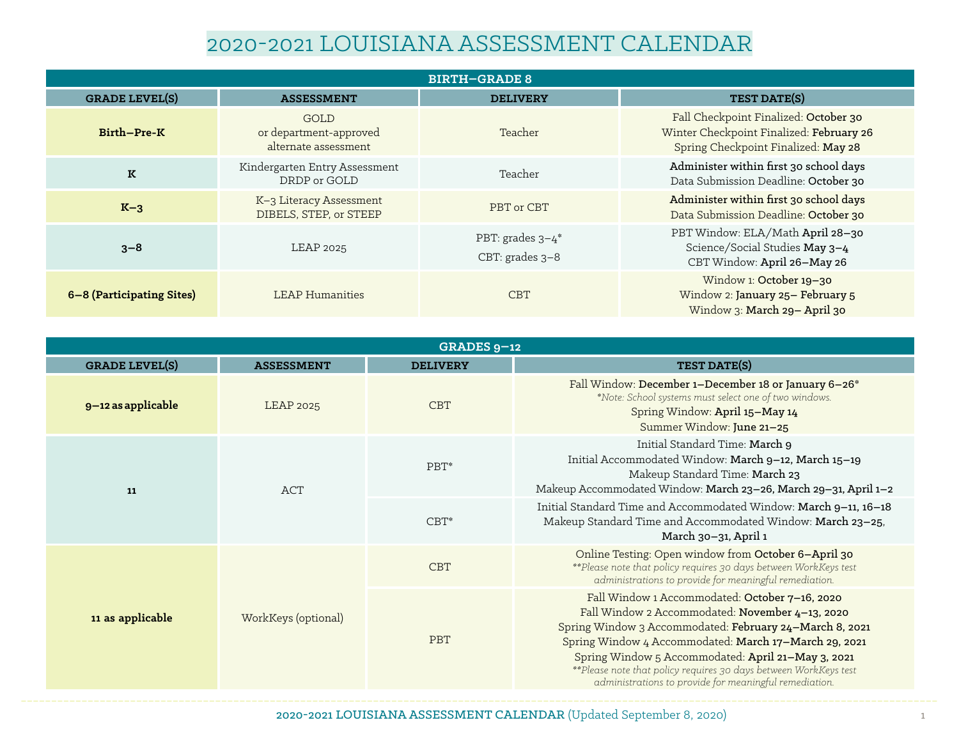## 2020-2021 LOUISIANA ASSESSMENT CALENDAR

| <b>BIRTH-GRADE 8</b>      |                                                        |                                                   |                                                                                                                          |  |
|---------------------------|--------------------------------------------------------|---------------------------------------------------|--------------------------------------------------------------------------------------------------------------------------|--|
| <b>GRADE LEVEL(S)</b>     | <b>ASSESSMENT</b>                                      | <b>DELIVERY</b>                                   | TEST DATE(S)                                                                                                             |  |
| Birth-Pre-K               | GOLD<br>or department-approved<br>alternate assessment | Teacher                                           | Fall Checkpoint Finalized: October 30<br>Winter Checkpoint Finalized: February 26<br>Spring Checkpoint Finalized: May 28 |  |
| K                         | Kindergarten Entry Assessment<br>DRDP or GOLD          | Teacher                                           | Administer within first 30 school days<br>Data Submission Deadline: October 30                                           |  |
| $K-3$                     | K-3 Literacy Assessment<br>DIBELS, STEP, or STEEP      | PBT or CBT                                        | Administer within first 30 school days<br>Data Submission Deadline: October 30                                           |  |
| $3 - 8$                   | LEAP 2025                                              | PBT: grades $3-4$ <sup>*</sup><br>CBT: grades 3-8 | PBT Window: ELA/Math April 28-30<br>Science/Social Studies May 3-4<br>CBT Window: April 26-May 26                        |  |
| 6–8 (Participating Sites) | <b>LEAP Humanities</b>                                 | <b>CBT</b>                                        | Window 1: October 19-30<br>Window 2: January 25- February 5<br>Window 3: March 29- April 30                              |  |

| GRADES $9-12$         |                     |                 |                                                                                                                                                                                                                                                                                                                                                                                                            |
|-----------------------|---------------------|-----------------|------------------------------------------------------------------------------------------------------------------------------------------------------------------------------------------------------------------------------------------------------------------------------------------------------------------------------------------------------------------------------------------------------------|
| <b>GRADE LEVEL(S)</b> | <b>ASSESSMENT</b>   | <b>DELIVERY</b> | TEST DATE(S)                                                                                                                                                                                                                                                                                                                                                                                               |
| 9-12 as applicable    | <b>LEAP 2025</b>    | <b>CBT</b>      | Fall Window: December 1-December 18 or January 6-26*<br>*Note: School systems must select one of two windows.<br>Spring Window: April 15-May 14<br>Summer Window: June 21-25                                                                                                                                                                                                                               |
| <b>ACT</b><br>11      |                     | PBT*            | Initial Standard Time: March 9<br>Initial Accommodated Window: March 9-12, March 15-19<br>Makeup Standard Time: March 23<br>Makeup Accommodated Window: March 23-26, March 29-31, April 1-2                                                                                                                                                                                                                |
|                       |                     | $CBT^*$         | Initial Standard Time and Accommodated Window: March 9-11, 16-18<br>Makeup Standard Time and Accommodated Window: March 23-25,<br>March 30-31, April 1                                                                                                                                                                                                                                                     |
| 11 as applicable      | WorkKeys (optional) | <b>CBT</b>      | Online Testing: Open window from October 6-April 30<br>**Please note that policy requires 30 days between WorkKeys test<br>administrations to provide for meaningful remediation.                                                                                                                                                                                                                          |
|                       |                     | PBT             | Fall Window 1 Accommodated: October 7-16, 2020<br>Fall Window 2 Accommodated: November 4-13, 2020<br>Spring Window 3 Accommodated: February 24-March 8, 2021<br>Spring Window 4 Accommodated: March 17-March 29, 2021<br>Spring Window 5 Accommodated: April 21-May 3, 2021<br>** Please note that policy requires 30 days between WorkKeys test<br>administrations to provide for meaningful remediation. |

2020-2021 LOUISIANA ASSESSMENT CALENDAR (Updated September 8, 2020) 1